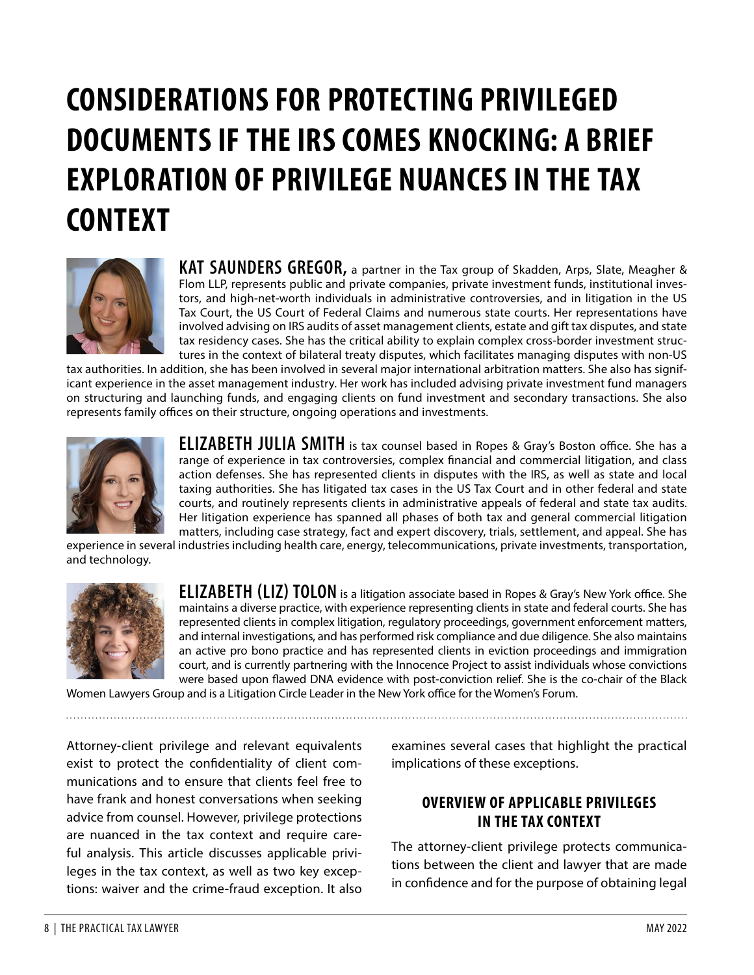# **CONSIDERATIONS FOR PROTECTING PRIVILEGED DOCUMENTS IF THE IRS COMES KNOCKING: A BRIEF EXPLORATION OF PRIVILEGE NUANCES IN THE TAX CONTEXT**



**KAT SAUNDERS GREGOR,** a partner in the Tax group of Skadden, Arps, Slate, Meagher & Flom LLP, represents public and private companies, private investment funds, institutional investors, and high-net-worth individuals in administrative controversies, and in litigation in the US Tax Court, the US Court of Federal Claims and numerous state courts. Her representations have involved advising on IRS audits of asset management clients, estate and gift tax disputes, and state tax residency cases. She has the critical ability to explain complex cross-border investment structures in the context of bilateral treaty disputes, which facilitates managing disputes with non-US

tax authorities. In addition, she has been involved in several major international arbitration matters. She also has significant experience in the asset management industry. Her work has included advising private investment fund managers on structuring and launching funds, and engaging clients on fund investment and secondary transactions. She also represents family offices on their structure, ongoing operations and investments.



**ELIZABETH JULIA SMITH** is tax counsel based in Ropes & Gray's Boston office. She has a range of experience in tax controversies, complex financial and commercial litigation, and class action defenses. She has represented clients in disputes with the IRS, as well as state and local taxing authorities. She has litigated tax cases in the US Tax Court and in other federal and state courts, and routinely represents clients in administrative appeals of federal and state tax audits. Her litigation experience has spanned all phases of both tax and general commercial litigation matters, including case strategy, fact and expert discovery, trials, settlement, and appeal. She has

experience in several industries including health care, energy, telecommunications, private investments, transportation, and technology.



**ELIZABETH (LIZ) TOLON** is a litigation associate based in Ropes & Gray's New York office. She maintains a diverse practice, with experience representing clients in state and federal courts. She has represented clients in complex litigation, regulatory proceedings, government enforcement matters, and internal investigations, and has performed risk compliance and due diligence. She also maintains an active pro bono practice and has represented clients in eviction proceedings and immigration court, and is currently partnering with the Innocence Project to assist individuals whose convictions were based upon flawed DNA evidence with post-conviction relief. She is the co-chair of the Black

Women Lawyers Group and is a Litigation Circle Leader in the New York office for the Women's Forum.

Attorney-client privilege and relevant equivalents exist to protect the confidentiality of client communications and to ensure that clients feel free to have frank and honest conversations when seeking advice from counsel. However, privilege protections are nuanced in the tax context and require careful analysis. This article discusses applicable privileges in the tax context, as well as two key exceptions: waiver and the crime-fraud exception. It also

examines several cases that highlight the practical implications of these exceptions.

#### **OVERVIEW OF APPLICABLE PRIVILEGES IN THE TAX CONTEXT**

The attorney-client privilege protects communications between the client and lawyer that are made in confidence and for the purpose of obtaining legal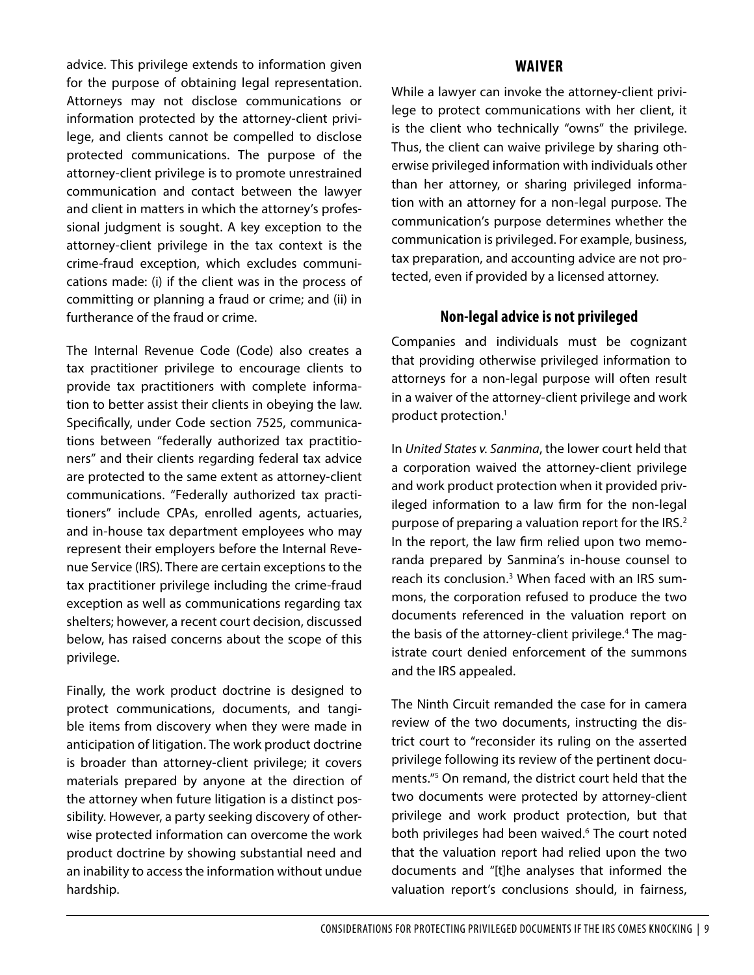advice. This privilege extends to information given for the purpose of obtaining legal representation. Attorneys may not disclose communications or information protected by the attorney-client privilege, and clients cannot be compelled to disclose protected communications. The purpose of the attorney-client privilege is to promote unrestrained communication and contact between the lawyer and client in matters in which the attorney's professional judgment is sought. A key exception to the attorney-client privilege in the tax context is the crime-fraud exception, which excludes communications made: (i) if the client was in the process of committing or planning a fraud or crime; and (ii) in furtherance of the fraud or crime.

The Internal Revenue Code (Code) also creates a tax practitioner privilege to encourage clients to provide tax practitioners with complete information to better assist their clients in obeying the law. Specifically, under Code section 7525, communications between "federally authorized tax practitioners" and their clients regarding federal tax advice are protected to the same extent as attorney-client communications. "Federally authorized tax practitioners" include CPAs, enrolled agents, actuaries, and in-house tax department employees who may represent their employers before the Internal Revenue Service (IRS). There are certain exceptions to the tax practitioner privilege including the crime-fraud exception as well as communications regarding tax shelters; however, a recent court decision, discussed below, has raised concerns about the scope of this privilege.

Finally, the work product doctrine is designed to protect communications, documents, and tangible items from discovery when they were made in anticipation of litigation. The work product doctrine is broader than attorney-client privilege; it covers materials prepared by anyone at the direction of the attorney when future litigation is a distinct possibility. However, a party seeking discovery of otherwise protected information can overcome the work product doctrine by showing substantial need and an inability to access the information without undue hardship.

#### **WAIVER**

While a lawyer can invoke the attorney-client privilege to protect communications with her client, it is the client who technically "owns" the privilege. Thus, the client can waive privilege by sharing otherwise privileged information with individuals other than her attorney, or sharing privileged information with an attorney for a non-legal purpose. The communication's purpose determines whether the communication is privileged. For example, business, tax preparation, and accounting advice are not protected, even if provided by a licensed attorney.

#### **Non-legal advice is not privileged**

Companies and individuals must be cognizant that providing otherwise privileged information to attorneys for a non-legal purpose will often result in a waiver of the attorney-client privilege and work product protection.<sup>1</sup>

In *United States v. Sanmina*, the lower court held that a corporation waived the attorney-client privilege and work product protection when it provided privileged information to a law firm for the non-legal purpose of preparing a valuation report for the IRS.<sup>[2](#page-7-1)</sup> In the report, the law firm relied upon two memoranda prepared by Sanmina's in-house counsel to reach its conclusion.<sup>[3](#page-7-2)</sup> When faced with an IRS summons, the corporation refused to produce the two documents referenced in the valuation report on the basis of the attorney-client privilege.<sup>4</sup> The magistrate court denied enforcement of the summons and the IRS appealed.

The Ninth Circuit remanded the case for in camera review of the two documents, instructing the district court to "reconsider its ruling on the asserted privilege following its review of the pertinent documents.["5](#page-7-4) On remand, the district court held that the two documents were protected by attorney-client privilege and work product protection, but that both privileges had been waived.<sup>6</sup> The court noted that the valuation report had relied upon the two documents and "[t]he analyses that informed the valuation report's conclusions should, in fairness,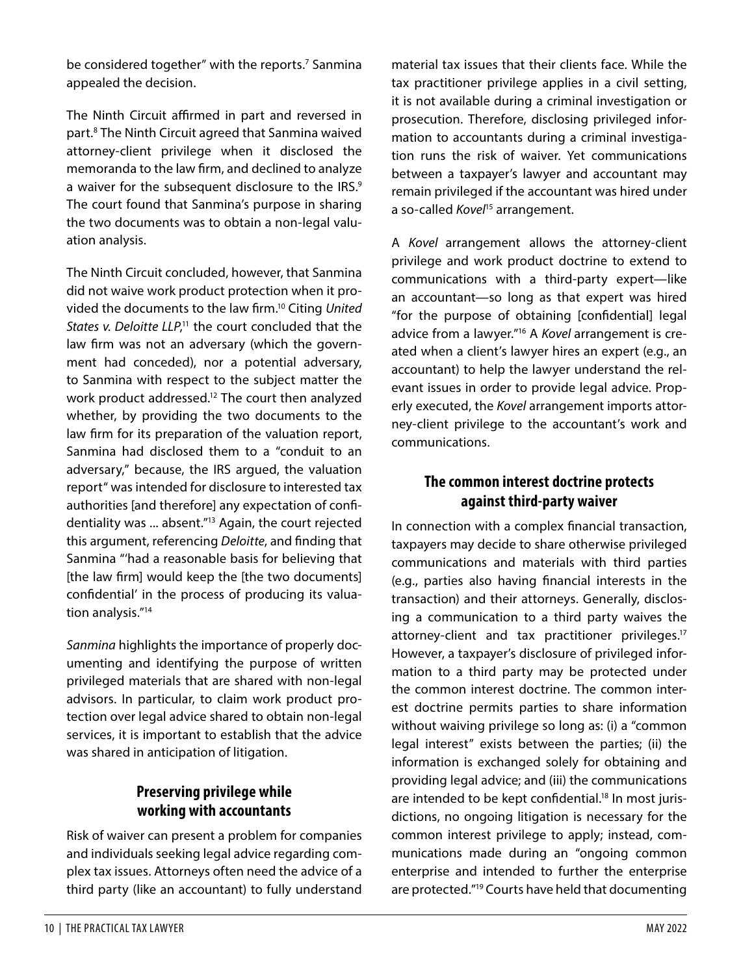be considered together" with the reports.<sup>[7](#page-7-5)</sup> Sanmina appealed the decision.

The Ninth Circuit affirmed in part and reversed in part.[8](#page-7-6) The Ninth Circuit agreed that Sanmina waived attorney-client privilege when it disclosed the memoranda to the law firm, and declined to analyze a waiver for the subsequent disclosure to the IRS.<sup>[9](#page-7-7)</sup> The court found that Sanmina's purpose in sharing the two documents was to obtain a non-legal valuation analysis.

The Ninth Circuit concluded, however, that Sanmina did not waive work product protection when it provided the documents to the law firm[.10](#page-7-8) Citing *United*  States v. Deloitte LLP,<sup>11</sup> the court concluded that the law firm was not an adversary (which the government had conceded), nor a potential adversary, to Sanmina with respect to the subject matter the work product addressed.<sup>12</sup> The court then analyzed whether, by providing the two documents to the law firm for its preparation of the valuation report, Sanmina had disclosed them to a "conduit to an adversary," because, the IRS argued, the valuation report" was intended for disclosure to interested tax authorities [and therefore] any expectation of confidentiality was ... absent."[13](#page-7-11) Again, the court rejected this argument, referencing *Deloitte*, and finding that Sanmina "'had a reasonable basis for believing that [the law firm] would keep the [the two documents] confidential' in the process of producing its valuation analysis.["14](#page-7-12)

*Sanmina* highlights the importance of properly documenting and identifying the purpose of written privileged materials that are shared with non-legal advisors. In particular, to claim work product protection over legal advice shared to obtain non-legal services, it is important to establish that the advice was shared in anticipation of litigation.

# **Preserving privilege while working with accountants**

Risk of waiver can present a problem for companies and individuals seeking legal advice regarding complex tax issues. Attorneys often need the advice of a third party (like an accountant) to fully understand material tax issues that their clients face. While the tax practitioner privilege applies in a civil setting, it is not available during a criminal investigation or prosecution. Therefore, disclosing privileged information to accountants during a criminal investigation runs the risk of waiver. Yet communications between a taxpayer's lawyer and accountant may remain privileged if the accountant was hired under a so-called *Kovel*<sup>15</sup> arrangement.

A *Kovel* arrangement allows the attorney-client privilege and work product doctrine to extend to communications with a third-party expert—like an accountant—so long as that expert was hired "for the purpose of obtaining [confidential] legal advice from a lawyer.["16](#page-7-14) A *Kovel* arrangement is created when a client's lawyer hires an expert (e.g., an accountant) to help the lawyer understand the relevant issues in order to provide legal advice. Properly executed, the *Kovel* arrangement imports attorney-client privilege to the accountant's work and communications.

# **The common interest doctrine protects against third-party waiver**

In connection with a complex financial transaction, taxpayers may decide to share otherwise privileged communications and materials with third parties (e.g., parties also having financial interests in the transaction) and their attorneys. Generally, disclosing a communication to a third party waives the attorney-client and tax practitioner privileges.<sup>17</sup> However, a taxpayer's disclosure of privileged information to a third party may be protected under the common interest doctrine. The common interest doctrine permits parties to share information without waiving privilege so long as: (i) a "common legal interest" exists between the parties; (ii) the information is exchanged solely for obtaining and providing legal advice; and (iii) the communications are intended to be kept confidential.<sup>18</sup> In most jurisdictions, no ongoing litigation is necessary for the common interest privilege to apply; instead, communications made during an "ongoing common enterprise and intended to further the enterprise are protected.["19](#page-7-17) Courts have held that documenting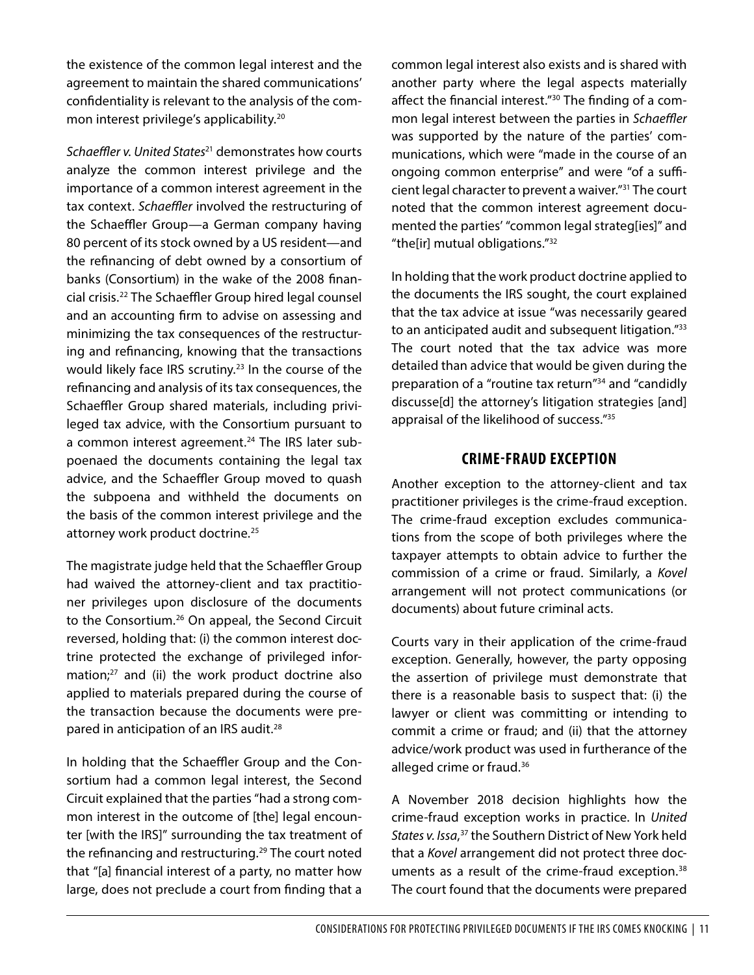the existence of the common legal interest and the agreement to maintain the shared communications' confidentiality is relevant to the analysis of the com-mon interest privilege's applicability.<sup>[20](#page-7-18)</sup>

*Schaeffler v. United States*[21](#page-7-19) demonstrates how courts analyze the common interest privilege and the importance of a common interest agreement in the tax context. *Schaeffler* involved the restructuring of the Schaeffler Group—a German company having 80 percent of its stock owned by a US resident—and the refinancing of debt owned by a consortium of banks (Consortium) in the wake of the 2008 financial crisis.[22](#page-7-20) The Schaeffler Group hired legal counsel and an accounting firm to advise on assessing and minimizing the tax consequences of the restructuring and refinancing, knowing that the transactions would likely face IRS scrutiny.<sup>23</sup> In the course of the refinancing and analysis of its tax consequences, the Schaeffler Group shared materials, including privileged tax advice, with the Consortium pursuant to a common interest agreement.<sup>[24](#page-7-22)</sup> The IRS later subpoenaed the documents containing the legal tax advice, and the Schaeffler Group moved to quash the subpoena and withheld the documents on the basis of the common interest privilege and the attorney work product doctrine.<sup>[25](#page-7-23)</sup>

The magistrate judge held that the Schaeffler Group had waived the attorney-client and tax practitioner privileges upon disclosure of the documents to the Consortium.<sup>26</sup> On appeal, the Second Circuit reversed, holding that: (i) the common interest doctrine protected the exchange of privileged information;<sup>27</sup> and (ii) the work product doctrine also applied to materials prepared during the course of the transaction because the documents were prepared in anticipation of an IRS audit[.28](#page-7-26)

In holding that the Schaeffler Group and the Consortium had a common legal interest, the Second Circuit explained that the parties "had a strong common interest in the outcome of [the] legal encounter [with the IRS]" surrounding the tax treatment of the refinancing and restructuring.<sup>29</sup> The court noted that "[a] financial interest of a party, no matter how large, does not preclude a court from finding that a

common legal interest also exists and is shared with another party where the legal aspects materially affect the financial interest.["30](#page-7-28) The finding of a common legal interest between the parties in *Schaeffler* was supported by the nature of the parties' communications, which were "made in the course of an ongoing common enterprise" and were "of a sufficient legal character to prevent a waiver."[31](#page-7-29) The court noted that the common interest agreement documented the parties' "common legal strateg[ies]" and "the[ir] mutual obligations.["32](#page-7-30)

In holding that the work product doctrine applied to the documents the IRS sought, the court explained that the tax advice at issue "was necessarily geared to an anticipated audit and subsequent litigation."<sup>33</sup> The court noted that the tax advice was more detailed than advice that would be given during the preparation of a "routine tax return["34](#page-7-32) and "candidly discusse[d] the attorney's litigation strategies [and] appraisal of the likelihood of success.["35](#page-7-33)

#### **CRIME-FRAUD EXCEPTION**

Another exception to the attorney-client and tax practitioner privileges is the crime-fraud exception. The crime-fraud exception excludes communications from the scope of both privileges where the taxpayer attempts to obtain advice to further the commission of a crime or fraud. Similarly, a *Kovel* arrangement will not protect communications (or documents) about future criminal acts.

Courts vary in their application of the crime-fraud exception. Generally, however, the party opposing the assertion of privilege must demonstrate that there is a reasonable basis to suspect that: (i) the lawyer or client was committing or intending to commit a crime or fraud; and (ii) that the attorney advice/work product was used in furtherance of the alleged crime or fraud.<sup>[36](#page-7-34)</sup>

A November 2018 decision highlights how the crime-fraud exception works in practice. In *United States v. Issa*, [37](#page-7-35) the Southern District of New York held that a *Kovel* arrangement did not protect three doc-uments as a result of the crime-fraud exception.<sup>[38](#page-7-36)</sup> The court found that the documents were prepared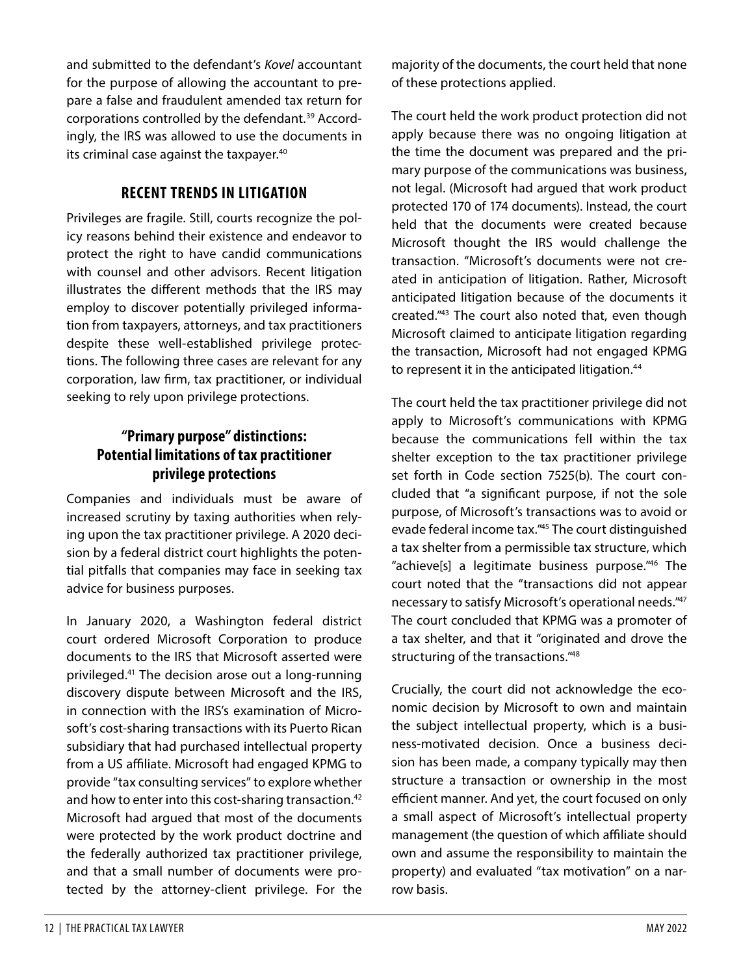and submitted to the defendant's *Kovel* accountant for the purpose of allowing the accountant to prepare a false and fraudulent amended tax return for corporations controlled by the defendant.[39](#page-7-37) Accordingly, the IRS was allowed to use the documents in its criminal case against the taxpayer.<sup>[40](#page-7-38)</sup>

#### **RECENT TRENDS IN LITIGATION**

Privileges are fragile. Still, courts recognize the policy reasons behind their existence and endeavor to protect the right to have candid communications with counsel and other advisors. Recent litigation illustrates the different methods that the IRS may employ to discover potentially privileged information from taxpayers, attorneys, and tax practitioners despite these well-established privilege protections. The following three cases are relevant for any corporation, law firm, tax practitioner, or individual seeking to rely upon privilege protections.

## **"Primary purpose" distinctions: Potential limitations of tax practitioner privilege protections**

Companies and individuals must be aware of increased scrutiny by taxing authorities when relying upon the tax practitioner privilege. A 2020 decision by a federal district court highlights the potential pitfalls that companies may face in seeking tax advice for business purposes.

In January 2020, a Washington federal district court ordered Microsoft Corporation to produce documents to the IRS that Microsoft asserted were privileged.[41](#page-7-39) The decision arose out a long-running discovery dispute between Microsoft and the IRS, in connection with the IRS's examination of Microsoft's cost-sharing transactions with its Puerto Rican subsidiary that had purchased intellectual property from a US affiliate. Microsoft had engaged KPMG to provide "tax consulting services" to explore whether and how to enter into this cost-sharing transaction[.42](#page-7-40) Microsoft had argued that most of the documents were protected by the work product doctrine and the federally authorized tax practitioner privilege, and that a small number of documents were protected by the attorney-client privilege. For the

majority of the documents, the court held that none of these protections applied.

The court held the work product protection did not apply because there was no ongoing litigation at the time the document was prepared and the primary purpose of the communications was business, not legal. (Microsoft had argued that work product protected 170 of 174 documents). Instead, the court held that the documents were created because Microsoft thought the IRS would challenge the transaction. "Microsoft's documents were not created in anticipation of litigation. Rather, Microsoft anticipated litigation because of the documents it created.["43](#page-7-41) The court also noted that, even though Microsoft claimed to anticipate litigation regarding the transaction, Microsoft had not engaged KPMG to represent it in the anticipated litigation.<sup>44</sup>

The court held the tax practitioner privilege did not apply to Microsoft's communications with KPMG because the communications fell within the tax shelter exception to the tax practitioner privilege set forth in Code section 7525(b). The court concluded that "a significant purpose, if not the sole purpose, of Microsoft's transactions was to avoid or evade federal income tax.["45](#page-7-43) The court distinguished a tax shelter from a permissible tax structure, which "achieve[s] a legitimate business purpose.["46](#page-7-44) The court noted that the "transactions did not appear necessary to satisfy Microsoft's operational needs.["47](#page-7-45) The court concluded that KPMG was a promoter of a tax shelter, and that it "originated and drove the structuring of the transactions.["48](#page-7-46)

Crucially, the court did not acknowledge the economic decision by Microsoft to own and maintain the subject intellectual property, which is a business-motivated decision. Once a business decision has been made, a company typically may then structure a transaction or ownership in the most efficient manner. And yet, the court focused on only a small aspect of Microsoft's intellectual property management (the question of which affiliate should own and assume the responsibility to maintain the property) and evaluated "tax motivation" on a narrow basis.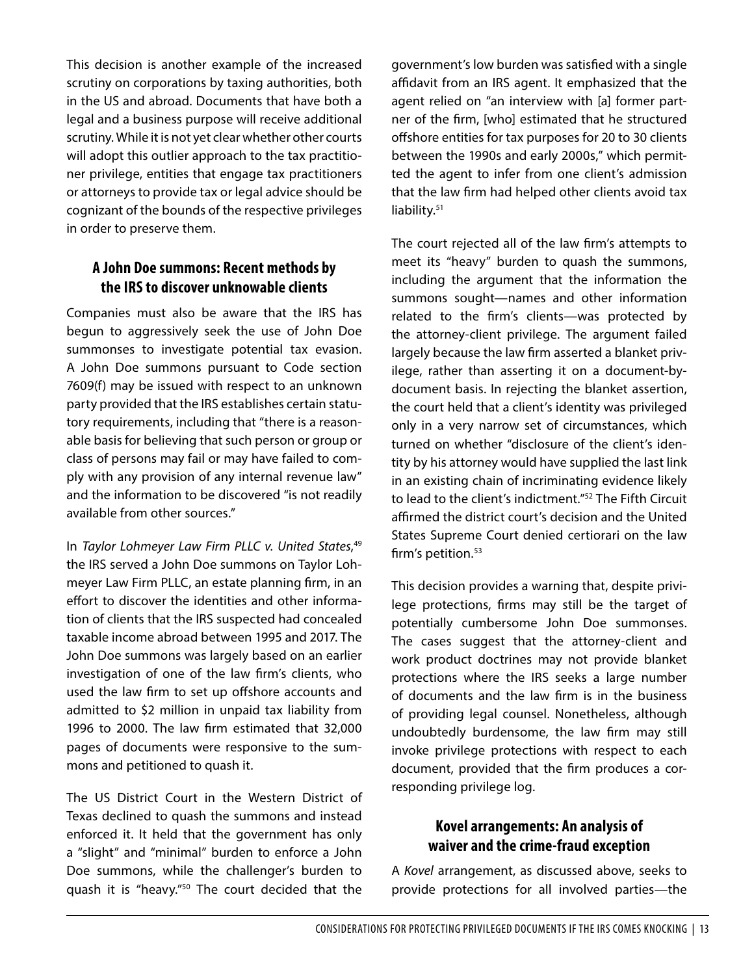This decision is another example of the increased scrutiny on corporations by taxing authorities, both in the US and abroad. Documents that have both a legal and a business purpose will receive additional scrutiny. While it is not yet clear whether other courts will adopt this outlier approach to the tax practitioner privilege, entities that engage tax practitioners or attorneys to provide tax or legal advice should be cognizant of the bounds of the respective privileges in order to preserve them.

#### **A John Doe summons: Recent methods by the IRS to discover unknowable clients**

Companies must also be aware that the IRS has begun to aggressively seek the use of John Doe summonses to investigate potential tax evasion. A John Doe summons pursuant to Code section 7609(f) may be issued with respect to an unknown party provided that the IRS establishes certain statutory requirements, including that "there is a reasonable basis for believing that such person or group or class of persons may fail or may have failed to comply with any provision of any internal revenue law" and the information to be discovered "is not readily available from other sources."

In *Taylor Lohmeyer Law Firm PLLC v. United States*, [49](#page-7-47) the IRS served a John Doe summons on Taylor Lohmeyer Law Firm PLLC, an estate planning firm, in an effort to discover the identities and other information of clients that the IRS suspected had concealed taxable income abroad between 1995 and 2017. The John Doe summons was largely based on an earlier investigation of one of the law firm's clients, who used the law firm to set up offshore accounts and admitted to \$2 million in unpaid tax liability from 1996 to 2000. The law firm estimated that 32,000 pages of documents were responsive to the summons and petitioned to quash it.

The US District Court in the Western District of Texas declined to quash the summons and instead enforced it. It held that the government has only a "slight" and "minimal" burden to enforce a John Doe summons, while the challenger's burden to quash it is "heavy."[50](#page-7-48) The court decided that the

government's low burden was satisfied with a single affidavit from an IRS agent. It emphasized that the agent relied on "an interview with [a] former partner of the firm, [who] estimated that he structured offshore entities for tax purposes for 20 to 30 clients between the 1990s and early 2000s," which permitted the agent to infer from one client's admission that the law firm had helped other clients avoid tax liability.<sup>[51](#page-7-49)</sup>

The court rejected all of the law firm's attempts to meet its "heavy" burden to quash the summons, including the argument that the information the summons sought—names and other information related to the firm's clients—was protected by the attorney-client privilege. The argument failed largely because the law firm asserted a blanket privilege, rather than asserting it on a document-bydocument basis. In rejecting the blanket assertion, the court held that a client's identity was privileged only in a very narrow set of circumstances, which turned on whether "disclosure of the client's identity by his attorney would have supplied the last link in an existing chain of incriminating evidence likely to lead to the client's indictment."<sup>52</sup> The Fifth Circuit affirmed the district court's decision and the United States Supreme Court denied certiorari on the law firm's petition.<sup>[53](#page-8-0)</sup>

This decision provides a warning that, despite privilege protections, firms may still be the target of potentially cumbersome John Doe summonses. The cases suggest that the attorney-client and work product doctrines may not provide blanket protections where the IRS seeks a large number of documents and the law firm is in the business of providing legal counsel. Nonetheless, although undoubtedly burdensome, the law firm may still invoke privilege protections with respect to each document, provided that the firm produces a corresponding privilege log.

#### **Kovel arrangements: An analysis of waiver and the crime-fraud exception**

A *Kovel* arrangement, as discussed above, seeks to provide protections for all involved parties—the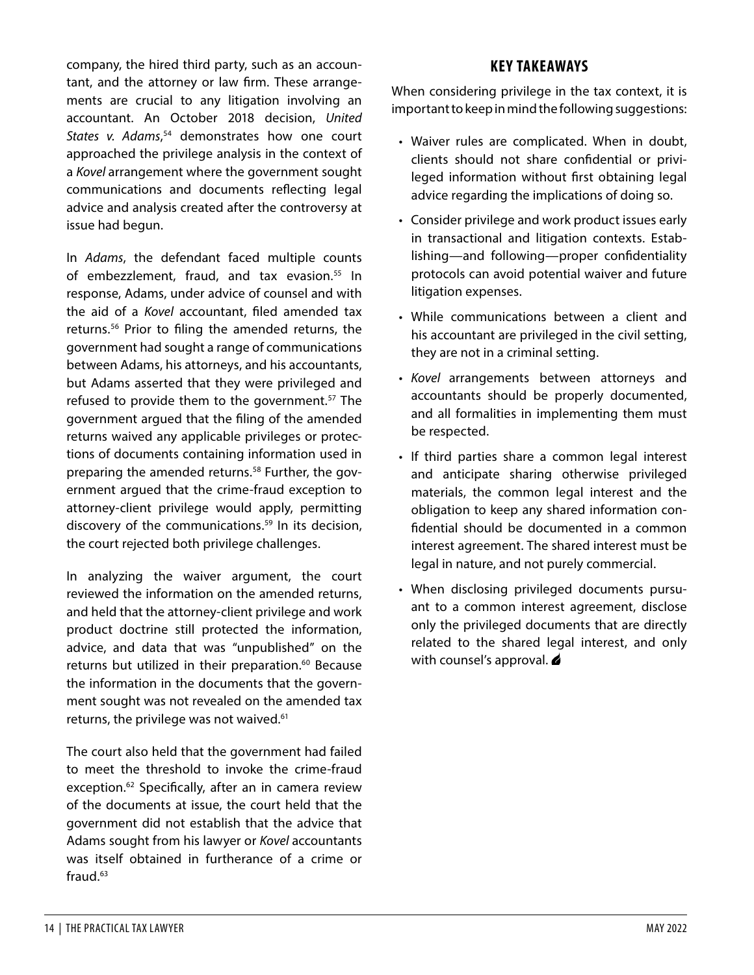company, the hired third party, such as an accountant, and the attorney or law firm. These arrangements are crucial to any litigation involving an accountant. An October 2018 decision, *United*  States v. Adams,<sup>54</sup> demonstrates how one court approached the privilege analysis in the context of a *Kovel* arrangement where the government sought communications and documents reflecting legal advice and analysis created after the controversy at issue had begun.

In *Adams*, the defendant faced multiple counts of embezzlement, fraud, and tax evasion.<sup>55</sup> In response, Adams, under advice of counsel and with the aid of a *Kovel* accountant, filed amended tax returns.[56](#page-8-3) Prior to filing the amended returns, the government had sought a range of communications between Adams, his attorneys, and his accountants, but Adams asserted that they were privileged and refused to provide them to the government.<sup>57</sup> The government argued that the filing of the amended returns waived any applicable privileges or protections of documents containing information used in preparing the amended returns.<sup>58</sup> Further, the government argued that the crime-fraud exception to attorney-client privilege would apply, permitting discovery of the communications.<sup>59</sup> In its decision, the court rejected both privilege challenges.

In analyzing the waiver argument, the court reviewed the information on the amended returns, and held that the attorney-client privilege and work product doctrine still protected the information, advice, and data that was "unpublished" on the returns but utilized in their preparation.<sup>60</sup> Because the information in the documents that the government sought was not revealed on the amended tax returns, the privilege was not waived.<sup>[61](#page-8-8)</sup>

The court also held that the government had failed to meet the threshold to invoke the crime-fraud exception.<sup>[62](#page-8-9)</sup> Specifically, after an in camera review of the documents at issue, the court held that the government did not establish that the advice that Adams sought from his lawyer or *Kovel* accountants was itself obtained in furtherance of a crime or fraud. $63$ 

## **KEY TAKEAWAYS**

When considering privilege in the tax context, it is important to keep in mind the following suggestions:

- Waiver rules are complicated. When in doubt, clients should not share confidential or privileged information without first obtaining legal advice regarding the implications of doing so.
- Consider privilege and work product issues early in transactional and litigation contexts. Establishing—and following—proper confidentiality protocols can avoid potential waiver and future litigation expenses.
- While communications between a client and his accountant are privileged in the civil setting, they are not in a criminal setting.
- *Kovel* arrangements between attorneys and accountants should be properly documented, and all formalities in implementing them must be respected.
- If third parties share a common legal interest and anticipate sharing otherwise privileged materials, the common legal interest and the obligation to keep any shared information confidential should be documented in a common interest agreement. The shared interest must be legal in nature, and not purely commercial.
- When disclosing privileged documents pursuant to a common interest agreement, disclose only the privileged documents that are directly related to the shared legal interest, and only with counsel's approval.  $\triangle$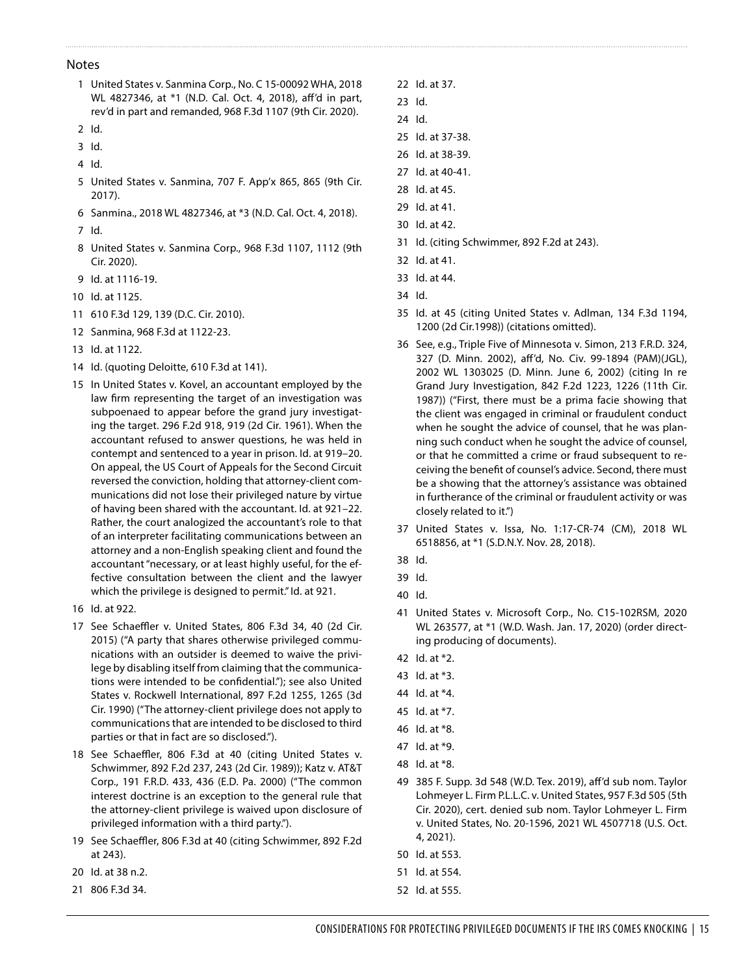#### Notes

- <span id="page-7-0"></span>1 United States v. Sanmina Corp., No. C 15-00092 WHA, 2018 WL 4827346, at \*1 (N.D. Cal. Oct. 4, 2018), aff'd in part, rev'd in part and remanded, 968 F.3d 1107 (9th Cir. 2020).
- <span id="page-7-1"></span>2 Id.
- <span id="page-7-2"></span>3 Id.
- <span id="page-7-3"></span>4 Id.
- <span id="page-7-4"></span>5 United States v. Sanmina, 707 F. App'x 865, 865 (9th Cir. 2017).
- 6 Sanmina., 2018 WL 4827346, at \*3 (N.D. Cal. Oct. 4, 2018).
- <span id="page-7-5"></span>7 Id.
- <span id="page-7-6"></span>8 United States v. Sanmina Corp., 968 F.3d 1107, 1112 (9th Cir. 2020).
- <span id="page-7-8"></span><span id="page-7-7"></span>9 Id. at 1116-19.
- 10 Id. at 1125.
- <span id="page-7-9"></span>11 610 F.3d 129, 139 (D.C. Cir. 2010).
- <span id="page-7-10"></span>12 Sanmina, 968 F.3d at 1122-23.
- <span id="page-7-11"></span>13 Id. at 1122.
- <span id="page-7-12"></span>14 Id. (quoting Deloitte, 610 F.3d at 141).
- <span id="page-7-13"></span>15 In United States v. Kovel, an accountant employed by the law firm representing the target of an investigation was subpoenaed to appear before the grand jury investigating the target. 296 F.2d 918, 919 (2d Cir. 1961). When the accountant refused to answer questions, he was held in contempt and sentenced to a year in prison. Id. at 919–20. On appeal, the US Court of Appeals for the Second Circuit reversed the conviction, holding that attorney-client communications did not lose their privileged nature by virtue of having been shared with the accountant. Id. at 921–22. Rather, the court analogized the accountant's role to that of an interpreter facilitating communications between an attorney and a non-English speaking client and found the accountant "necessary, or at least highly useful, for the effective consultation between the client and the lawyer which the privilege is designed to permit." Id. at 921.
- <span id="page-7-14"></span>16 Id. at 922.
- <span id="page-7-15"></span>17 See Schaeffler v. United States, 806 F.3d 34, 40 (2d Cir. 2015) ("A party that shares otherwise privileged communications with an outsider is deemed to waive the privilege by disabling itself from claiming that the communications were intended to be confidential."); see also United States v. Rockwell International, 897 F.2d 1255, 1265 (3d Cir. 1990) ("The attorney-client privilege does not apply to communications that are intended to be disclosed to third parties or that in fact are so disclosed.").
- <span id="page-7-16"></span>18 See Schaeffler, 806 F.3d at 40 (citing United States v. Schwimmer, 892 F.2d 237, 243 (2d Cir. 1989)); Katz v. AT&T Corp., 191 F.R.D. 433, 436 (E.D. Pa. 2000) ("The common interest doctrine is an exception to the general rule that the attorney-client privilege is waived upon disclosure of privileged information with a third party.").
- <span id="page-7-17"></span>19 See Schaeffler, 806 F.3d at 40 (citing Schwimmer, 892 F.2d at 243).
- <span id="page-7-18"></span>20 Id. at 38 n.2.
- <span id="page-7-19"></span>21 806 F.3d 34.
- <span id="page-7-20"></span>22 Id. at 37.
- <span id="page-7-21"></span>23 Id.
- <span id="page-7-22"></span>24 Id.
- <span id="page-7-23"></span>25 Id. at 37-38.
- <span id="page-7-24"></span>26 Id. at 38-39.
- <span id="page-7-25"></span>27 Id. at 40-41.
- <span id="page-7-26"></span>28 Id. at 45.
- <span id="page-7-27"></span>29 Id. at 41.
- <span id="page-7-28"></span>30 Id. at 42.
- <span id="page-7-29"></span>31 Id. (citing Schwimmer, 892 F.2d at 243).
- <span id="page-7-30"></span>32 Id. at 41.
- <span id="page-7-31"></span>33 Id. at 44.
- <span id="page-7-32"></span>34 Id.
- <span id="page-7-33"></span>35 Id. at 45 (citing United States v. Adlman, 134 F.3d 1194, 1200 (2d Cir.1998)) (citations omitted).
- <span id="page-7-34"></span>36 See, e.g., Triple Five of Minnesota v. Simon, 213 F.R.D. 324, 327 (D. Minn. 2002), aff'd, No. Civ. 99-1894 (PAM)(JGL), 2002 WL 1303025 (D. Minn. June 6, 2002) (citing In re Grand Jury Investigation, 842 F.2d 1223, 1226 (11th Cir. 1987)) ("First, there must be a prima facie showing that the client was engaged in criminal or fraudulent conduct when he sought the advice of counsel, that he was planning such conduct when he sought the advice of counsel, or that he committed a crime or fraud subsequent to receiving the benefit of counsel's advice. Second, there must be a showing that the attorney's assistance was obtained in furtherance of the criminal or fraudulent activity or was closely related to it.")
- <span id="page-7-35"></span>37 United States v. Issa, No. 1:17-CR-74 (CM), 2018 WL 6518856, at \*1 (S.D.N.Y. Nov. 28, 2018).
- <span id="page-7-36"></span>38 Id.
- <span id="page-7-37"></span>39 Id.
- <span id="page-7-38"></span>40 Id.
- <span id="page-7-39"></span>41 United States v. Microsoft Corp., No. C15-102RSM, 2020 WL 263577, at \*1 (W.D. Wash. Jan. 17, 2020) (order directing producing of documents).
- <span id="page-7-40"></span>42 Id. at \*2.
- <span id="page-7-41"></span>43 Id. at \*3.
- <span id="page-7-42"></span>44 Id. at \*4.
- <span id="page-7-43"></span>45 Id. at \*7.
- <span id="page-7-44"></span>46 Id. at \*8.
- <span id="page-7-45"></span>47 Id. at \*9.
- <span id="page-7-46"></span>48 Id. at \*8.
- <span id="page-7-47"></span>49 385 F. Supp. 3d 548 (W.D. Tex. 2019), aff'd sub nom. Taylor Lohmeyer L. Firm P.L.L.C. v. United States, 957 F.3d 505 (5th Cir. 2020), cert. denied sub nom. Taylor Lohmeyer L. Firm v. United States, No. 20-1596, 2021 WL 4507718 (U.S. Oct. 4, 2021).
- <span id="page-7-48"></span>50 Id. at 553.
- <span id="page-7-49"></span>51 Id. at 554.
- <span id="page-7-50"></span>52 Id. at 555.